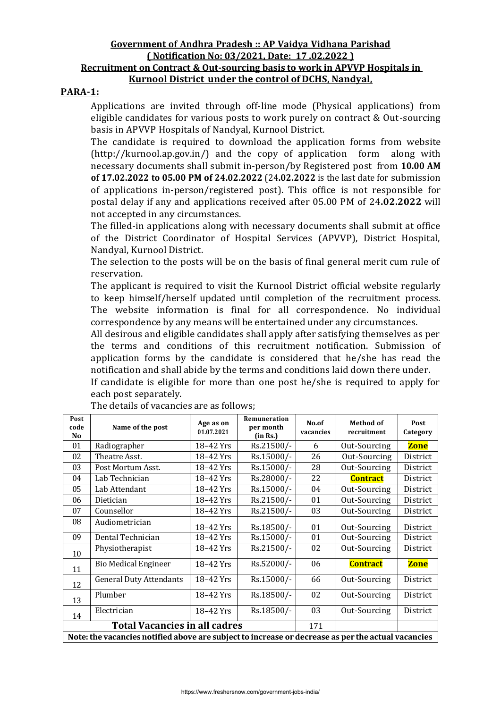#### **Government of Andhra Pradesh :: AP Vaidya Vidhana Parishad ( Notification No: 03/2021, Date: 17 .02.2022 ) Recruitment on Contract & Out-sourcing basis to work in APVVP Hospitals in Kurnool District under the control of DCHS, Nandyal,**

#### **PARA-1:**

Applications are invited through off-line mode (Physical applications) from eligible candidates for various posts to work purely on contract & Out-sourcing basis in APVVP Hospitals of Nandyal, Kurnool District.

The candidate is required to download the application forms from website (http://kurnool.ap.gov.in/) and the copy of application form along with necessary documents shall submit in-person/by Registered post from **10.00 AM of 17.02.2022 to 05.00 PM of 24.02.2022** (24**.02.2022** is the last date for submission of applications in-person/registered post). This office is not responsible for postal delay if any and applications received after 05.00 PM of 24**.02.2022** will not accepted in any circumstances.

The filled-in applications along with necessary documents shall submit at office of the District Coordinator of Hospital Services (APVVP), District Hospital, Nandyal, Kurnool District.

The selection to the posts will be on the basis of final general merit cum rule of reservation.

The applicant is required to visit the Kurnool District official website regularly to keep himself/herself updated until completion of the recruitment process. The website information is final for all correspondence. No individual correspondence by any means will be entertained under any circumstances.

All desirous and eligible candidates shall apply after satisfying themselves as per the terms and conditions of this recruitment notification. Submission of application forms by the candidate is considered that he/she has read the notification and shall abide by the terms and conditions laid down there under. If candidate is eligible for more than one post he/she is required to apply for

| If candidate is engible for more than one post ne/sile is required to apply for |  |
|---------------------------------------------------------------------------------|--|
| each post separately.                                                           |  |
| The details of vacancies are as follows:                                        |  |

| Post<br>code<br>N <sub>0</sub> | Name of the post                                                                                   | Age as on<br>01.07.2021 | Remuneration<br>per month<br>(in Rs.) | No.of<br>vacancies | Method of<br>recruitment | Post<br>Category |
|--------------------------------|----------------------------------------------------------------------------------------------------|-------------------------|---------------------------------------|--------------------|--------------------------|------------------|
| 01                             | Radiographer                                                                                       | 18-42 Yrs               | Rs.21500/-                            | 6                  | Out-Sourcing             | <b>Zone</b>      |
| 02                             | Theatre Asst.                                                                                      | 18-42 Yrs               | Rs.15000/-                            | 26                 | Out-Sourcing             | District         |
| 03                             | Post Mortum Asst.                                                                                  | 18-42 Yrs               | Rs.15000/-                            | 28                 | Out-Sourcing             | District         |
| 04                             | Lab Technician                                                                                     | 18-42 Yrs               | Rs.28000/-                            | 22                 | <b>Contract</b>          | District         |
| 05                             | Lab Attendant                                                                                      | 18-42 Yrs               | Rs.15000/-                            | 04                 | Out-Sourcing             | District         |
| 06                             | Dietician                                                                                          | 18-42 Yrs               | Rs.21500/-                            | 01                 | Out-Sourcing             | District         |
| 07                             | Counsellor                                                                                         | 18-42 Yrs               | Rs.21500/-                            | 03                 | Out-Sourcing             | District         |
| 08                             | Audiometrician                                                                                     | 18-42 Yrs               | Rs.18500/-                            | 01                 | Out-Sourcing             | District         |
| 09                             | Dental Technician                                                                                  | 18-42 Yrs               | Rs.15000/-                            | 01                 | Out-Sourcing             | District         |
| 10                             | Physiotherapist                                                                                    | 18-42 Yrs               | Rs.21500/-                            | 02                 | Out-Sourcing             | District         |
| 11                             | <b>Bio Medical Engineer</b>                                                                        | 18-42 Yrs               | Rs.52000/-                            | 06                 | <b>Contract</b>          | <b>Zone</b>      |
| 12                             | <b>General Duty Attendants</b>                                                                     | 18-42 Yrs               | Rs.15000/-                            | 66                 | Out-Sourcing             | District         |
| 13                             | Plumber                                                                                            | 18-42 Yrs               | Rs.18500/-                            | 02                 | Out-Sourcing             | District         |
| 14                             | Electrician                                                                                        | 18-42 Yrs               | Rs.18500/-                            | 03                 | Out-Sourcing             | District         |
|                                | <b>Total Vacancies in all cadres</b>                                                               |                         |                                       | 171                |                          |                  |
|                                | Note: the vacancies notified above are subject to increase or decrease as per the actual vacancies |                         |                                       |                    |                          |                  |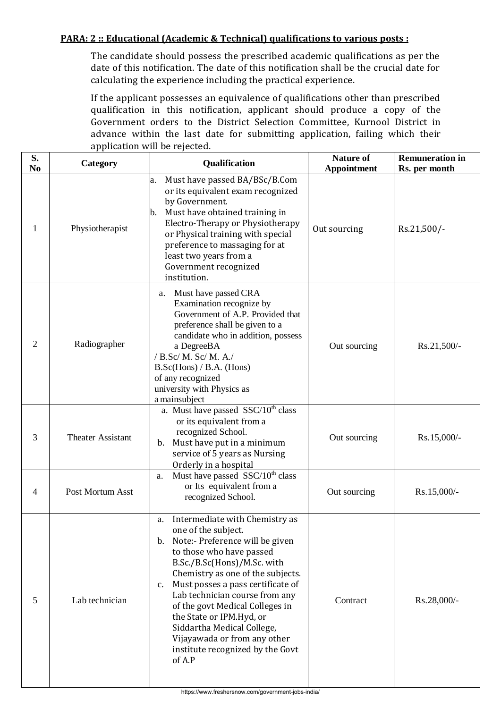### **PARA: 2 :: Educational (Academic & Technical) qualifications to various posts :**

The candidate should possess the prescribed academic qualifications as per the date of this notification. The date of this notification shall be the crucial date for calculating the experience including the practical experience.

If the applicant possesses an equivalence of qualifications other than prescribed qualification in this notification, applicant should produce a copy of the Government orders to the District Selection Committee, Kurnool District in advance within the last date for submitting application, failing which their application will be rejected.

| S.<br>N <sub>0</sub> | Category                 | Qualification                                                                                                                                                                                                                                                                                                                                                                                                                                                | <b>Nature of</b><br><b>Appointment</b> | <b>Remuneration in</b><br>Rs. per month |
|----------------------|--------------------------|--------------------------------------------------------------------------------------------------------------------------------------------------------------------------------------------------------------------------------------------------------------------------------------------------------------------------------------------------------------------------------------------------------------------------------------------------------------|----------------------------------------|-----------------------------------------|
| $\mathbf{1}$         | Physiotherapist          | Must have passed BA/BSc/B.Com<br>a.<br>or its equivalent exam recognized<br>by Government.<br>Must have obtained training in<br>b.<br>Electro-Therapy or Physiotherapy<br>or Physical training with special<br>preference to massaging for at<br>least two years from a<br>Government recognized<br>institution.                                                                                                                                             | Out sourcing                           | Rs.21,500/-                             |
| $\mathfrak{2}$       | Radiographer             | Must have passed CRA<br>a.<br>Examination recognize by<br>Government of A.P. Provided that<br>preference shall be given to a<br>candidate who in addition, possess<br>a DegreeBA<br>/ B.Sc/ M. Sc/ M. A./<br>$B.Sc(Hons) / B.A.$ (Hons)<br>of any recognized<br>university with Physics as<br>a mainsubject                                                                                                                                                  | Out sourcing                           | Rs.21,500/-                             |
| 3                    | <b>Theater Assistant</b> | a. Must have passed SSC/10 <sup>th</sup> class<br>or its equivalent from a<br>recognized School.<br>Must have put in a minimum<br>b.<br>service of 5 years as Nursing<br>Orderly in a hospital                                                                                                                                                                                                                                                               | Out sourcing                           | Rs.15,000/-                             |
| 4                    | Post Mortum Asst         | Must have passed SSC/10 <sup>th</sup> class<br>a.<br>or Its equivalent from a<br>recognized School.                                                                                                                                                                                                                                                                                                                                                          | Out sourcing                           | Rs.15,000/-                             |
| 5                    | Lab technician           | Intermediate with Chemistry as<br>a.<br>one of the subject.<br>Note:- Preference will be given<br>b.<br>to those who have passed<br>B.Sc./B.Sc(Hons)/M.Sc. with<br>Chemistry as one of the subjects.<br>Must posses a pass certificate of<br>c.<br>Lab technician course from any<br>of the govt Medical Colleges in<br>the State or IPM.Hyd, or<br>Siddartha Medical College,<br>Vijayawada or from any other<br>institute recognized by the Govt<br>of A.P | Contract                               | Rs.28,000/-                             |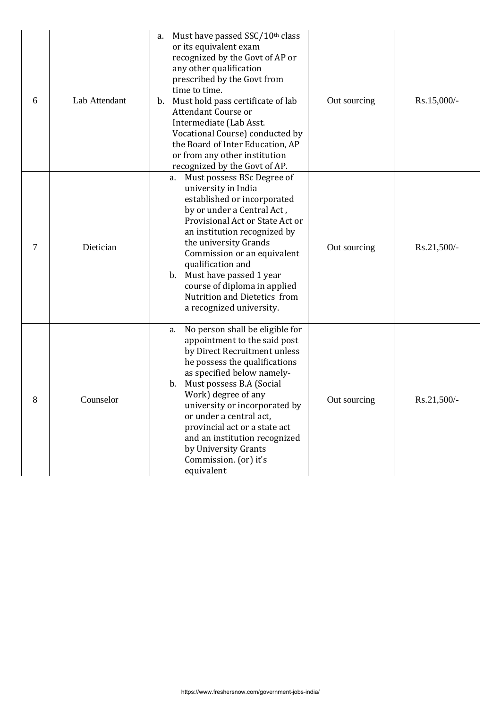| 6 | Lab Attendant | Must have passed SSC/10th class<br>a.<br>or its equivalent exam<br>recognized by the Govt of AP or<br>any other qualification<br>prescribed by the Govt from<br>time to time.<br>Must hold pass certificate of lab<br>$\mathbf{b}$ .<br>Attendant Course or<br>Intermediate (Lab Asst.<br>Vocational Course) conducted by<br>the Board of Inter Education, AP<br>or from any other institution<br>recognized by the Govt of AP. | Out sourcing | Rs.15,000/-   |
|---|---------------|---------------------------------------------------------------------------------------------------------------------------------------------------------------------------------------------------------------------------------------------------------------------------------------------------------------------------------------------------------------------------------------------------------------------------------|--------------|---------------|
| 7 | Dietician     | Must possess BSc Degree of<br>a.<br>university in India<br>established or incorporated<br>by or under a Central Act,<br>Provisional Act or State Act or<br>an institution recognized by<br>the university Grands<br>Commission or an equivalent<br>qualification and<br>b. Must have passed 1 year<br>course of diploma in applied<br>Nutrition and Dietetics from<br>a recognized university.                                  | Out sourcing | Rs.21,500/-   |
| 8 | Counselor     | No person shall be eligible for<br>a.<br>appointment to the said post<br>by Direct Recruitment unless<br>he possess the qualifications<br>as specified below namely-<br>Must possess B.A (Social<br>b.<br>Work) degree of any<br>university or incorporated by<br>or under a central act,<br>provincial act or a state act<br>and an institution recognized<br>by University Grants<br>Commission. (or) it's<br>equivalent      | Out sourcing | $Rs.21,500/-$ |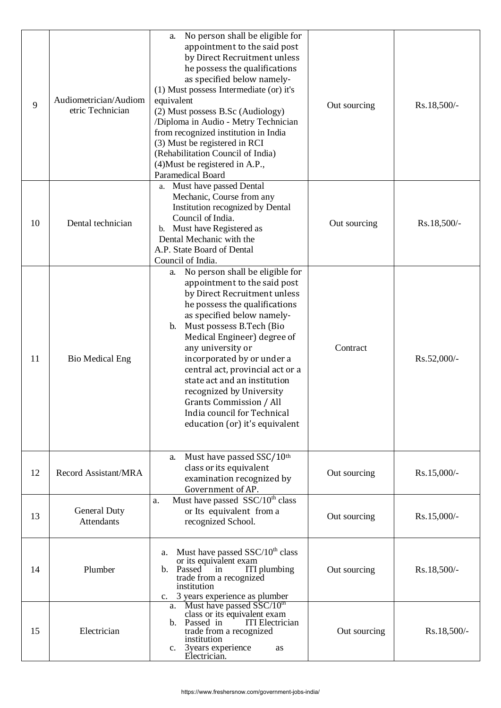| 9  | Audiometrician/Audiom<br>etric Technician | No person shall be eligible for<br>a.<br>appointment to the said post<br>by Direct Recruitment unless<br>he possess the qualifications<br>as specified below namely-<br>(1) Must possess Intermediate (or) it's<br>equivalent<br>(2) Must possess B.Sc (Audiology)<br>/Diploma in Audio - Metry Technician<br>from recognized institution in India<br>(3) Must be registered in RCI<br>(Rehabilitation Council of India)<br>(4) Must be registered in A.P.,<br>Paramedical Board                 | Out sourcing | Rs.18,500/- |
|----|-------------------------------------------|--------------------------------------------------------------------------------------------------------------------------------------------------------------------------------------------------------------------------------------------------------------------------------------------------------------------------------------------------------------------------------------------------------------------------------------------------------------------------------------------------|--------------|-------------|
| 10 | Dental technician                         | a. Must have passed Dental<br>Mechanic, Course from any<br>Institution recognized by Dental<br>Council of India.<br>b. Must have Registered as<br>Dental Mechanic with the<br>A.P. State Board of Dental<br>Council of India.                                                                                                                                                                                                                                                                    | Out sourcing | Rs.18,500/- |
| 11 | <b>Bio Medical Eng</b>                    | No person shall be eligible for<br>a.<br>appointment to the said post<br>by Direct Recruitment unless<br>he possess the qualifications<br>as specified below namely-<br>Must possess B.Tech (Bio<br>$\mathbf{b}$ .<br>Medical Engineer) degree of<br>any university or<br>incorporated by or under a<br>central act, provincial act or a<br>state act and an institution<br>recognized by University<br>Grants Commission / All<br>India council for Technical<br>education (or) it's equivalent | Contract     | Rs.52,000/- |
| 12 | Record Assistant/MRA                      | Must have passed SSC/10th<br>a.<br>class or its equivalent<br>examination recognized by<br>Government of AP.                                                                                                                                                                                                                                                                                                                                                                                     | Out sourcing | Rs.15,000/- |
| 13 | <b>General Duty</b><br><b>Attendants</b>  | Must have passed SSC/10 <sup>th</sup> class<br>a.<br>or Its equivalent from a<br>recognized School.                                                                                                                                                                                                                                                                                                                                                                                              | Out sourcing | Rs.15,000/- |
| 14 | Plumber                                   | Must have passed $SSC/10th$ class<br>a.<br>or its equivalent exam<br>ITI plumbing<br>b. Passed<br>in<br>trade from a recognized<br>institution<br>c. 3 years experience as plumber                                                                                                                                                                                                                                                                                                               | Out sourcing | Rs.18,500/- |
| 15 | Electrician                               | Must have passed SSC/10th<br>a.<br>class or its equivalent exam<br>Passed in<br><b>ITI</b> Electrician<br>b.<br>trade from a recognized<br>institution<br>3years experience<br>$c_{\cdot}$<br>as<br>Electrician.                                                                                                                                                                                                                                                                                 | Out sourcing | Rs.18,500/- |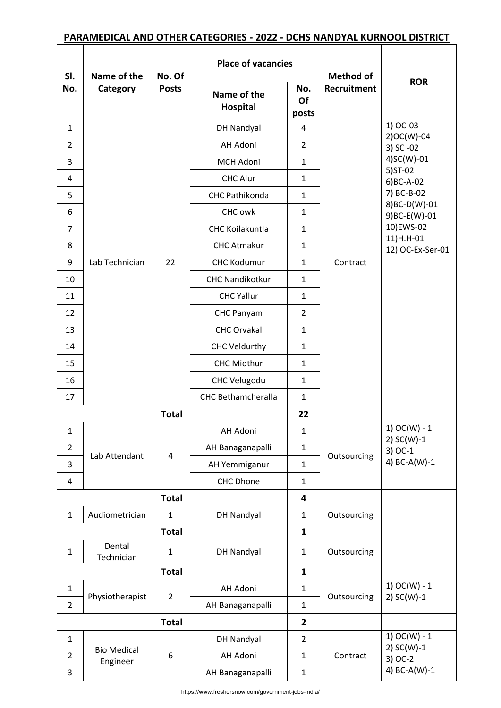# **PARAMEDICAL AND OTHER CATEGORIES - 2022 - DCHS NANDYAL KURNOOL DISTRICT**

| SI.            | Name of the                    | No. Of                  | <b>Place of vacancies</b> |                    | <b>Method of</b>   |                               |
|----------------|--------------------------------|-------------------------|---------------------------|--------------------|--------------------|-------------------------------|
| No.            | Category                       | <b>Posts</b>            | Name of the<br>Hospital   | No.<br>Of<br>posts | <b>Recruitment</b> | <b>ROR</b>                    |
| $\mathbf{1}$   |                                |                         | <b>DH Nandyal</b>         | 4                  |                    | 1) OC-03                      |
| $\overline{2}$ |                                |                         | AH Adoni                  | $\overline{2}$     |                    | 2)OC(W)-04<br>3) SC-02        |
| 3              |                                |                         | <b>MCH Adoni</b>          | $\mathbf{1}$       |                    | 4)SC(W)-01                    |
| 4              |                                |                         | <b>CHC Alur</b>           | $\mathbf{1}$       |                    | 5) ST-02<br>6) BC-A-02        |
| 5              |                                |                         | CHC Pathikonda            | $\mathbf{1}$       |                    | 7) BC-B-02                    |
| 6              |                                |                         | CHC owk                   | $\mathbf{1}$       |                    | 8)BC-D(W)-01<br>9) BC-E(W)-01 |
| 7              |                                |                         | <b>CHC Koilakuntla</b>    | $\mathbf{1}$       |                    | 10)EWS-02                     |
| 8              |                                |                         | <b>CHC Atmakur</b>        | $\mathbf{1}$       |                    | 11)H.H-01<br>12) OC-Ex-Ser-01 |
| 9              | Lab Technician                 | 22                      | <b>CHC Kodumur</b>        | $\mathbf{1}$       | Contract           |                               |
| 10             |                                |                         | <b>CHC Nandikotkur</b>    | $\mathbf{1}$       |                    |                               |
| 11             |                                |                         | <b>CHC Yallur</b>         | $\mathbf{1}$       |                    |                               |
| 12             |                                |                         | <b>CHC Panyam</b>         | $\overline{2}$     |                    |                               |
| 13             |                                |                         | <b>CHC Orvakal</b>        | $\mathbf{1}$       |                    |                               |
| 14             |                                | <b>CHC Veldurthy</b>    | $\mathbf{1}$              |                    |                    |                               |
| 15             |                                | <b>CHC Midthur</b>      | $\mathbf{1}$              |                    |                    |                               |
| 16             |                                |                         | <b>CHC Velugodu</b>       | $\mathbf{1}$       |                    |                               |
| 17             |                                |                         | <b>CHC Bethamcheralla</b> | $\mathbf{1}$       |                    |                               |
|                |                                | <b>Total</b>            |                           | 22                 |                    |                               |
| $\mathbf{1}$   |                                |                         | AH Adoni                  | $\mathbf{1}$       |                    | 1) $OC(W) - 1$<br>2) SC(W)-1  |
| $\overline{2}$ | Lab Attendant                  | $\overline{\mathbf{4}}$ | AH Banaganapalli          | $\mathbf{1}$       | Outsourcing        | $3)$ OC-1                     |
| 3              |                                |                         | AH Yemmiganur             | 1                  |                    | 4) BC-A(W)-1                  |
| 4              |                                |                         | CHC Dhone                 | $\mathbf{1}$       |                    |                               |
|                |                                | <b>Total</b>            |                           | 4                  |                    |                               |
| $\mathbf{1}$   | Audiometrician                 | $\mathbf 1$             | DH Nandyal                | $\mathbf{1}$       | Outsourcing        |                               |
|                |                                | <b>Total</b>            |                           | $\mathbf{1}$       |                    |                               |
| $\mathbf{1}$   | Dental<br>Technician           | $\mathbf 1$             | <b>DH Nandyal</b>         | $\mathbf{1}$       | Outsourcing        |                               |
|                |                                | <b>Total</b>            |                           | $\mathbf{1}$       |                    |                               |
| $\mathbf{1}$   |                                |                         | AH Adoni                  | $\mathbf{1}$       |                    | 1) $OC(W) - 1$                |
| $\overline{2}$ | Physiotherapist                | $\overline{2}$          | AH Banaganapalli          | $\mathbf{1}$       | Outsourcing        | $2) SC(W)-1$                  |
|                |                                | <b>Total</b>            |                           | $\overline{2}$     |                    |                               |
| $\mathbf{1}$   |                                |                         | DH Nandyal                | $\overline{2}$     |                    | 1) $OC(W) - 1$                |
| $\overline{2}$ | <b>Bio Medical</b><br>Engineer | 6                       | AH Adoni                  | $\mathbf{1}$       | Contract           | $2) SC(W)-1$<br>3) OC-2       |
| 3              |                                |                         | AH Banaganapalli          | $\mathbf{1}$       |                    | 4) BC-A(W)-1                  |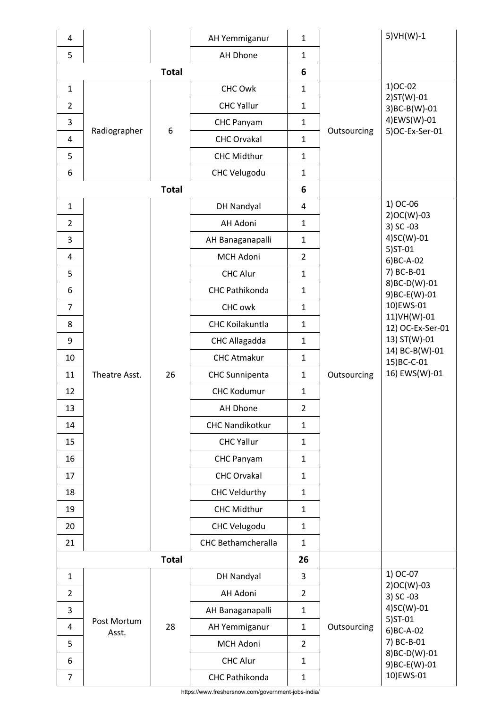| 4              |                      |              | AH Yemmiganur             | $\mathbf{1}$   |             | 5) VH(W)-1                                    |
|----------------|----------------------|--------------|---------------------------|----------------|-------------|-----------------------------------------------|
| 5              |                      |              | AH Dhone                  | $\mathbf{1}$   |             |                                               |
|                |                      | <b>Total</b> |                           | 6              |             |                                               |
| $\mathbf{1}$   |                      |              | CHC Owk                   | $\mathbf{1}$   |             | 1) OC-02                                      |
| $\overline{2}$ |                      |              | <b>CHC Yallur</b>         | $\mathbf{1}$   |             | $2)ST(W)-01$<br>3) BC-B(W)-01                 |
| 3              |                      | 6            | CHC Panyam                | $\mathbf{1}$   |             | 4)EWS(W)-01                                   |
| 4              | Radiographer         |              | <b>CHC Orvakal</b>        | $\mathbf{1}$   | Outsourcing | 5) OC-Ex-Ser-01                               |
| 5              |                      |              | <b>CHC Midthur</b>        | $\mathbf{1}$   |             |                                               |
| 6              |                      |              | <b>CHC Velugodu</b>       | $\mathbf{1}$   |             |                                               |
|                |                      | <b>Total</b> |                           | 6              |             |                                               |
| $\mathbf{1}$   |                      |              | DH Nandyal                | 4              |             | 1) OC-06                                      |
| 2              |                      |              | AH Adoni                  | $\mathbf{1}$   |             | $2)OC(W)-03$<br>3) SC-03                      |
| 3              |                      |              | AH Banaganapalli          | $\mathbf{1}$   |             | 4)SC(W)-01                                    |
| 4              |                      |              | MCH Adoni                 | $\overline{2}$ |             | $5)ST-01$<br>6) BC-A-02                       |
| 5              |                      |              | <b>CHC Alur</b>           | $\mathbf{1}$   |             | 7) BC-B-01                                    |
| 6              |                      |              | CHC Pathikonda            | $\mathbf{1}$   |             | 8)BC-D(W)-01<br>9) BC-E(W)-01                 |
| $\overline{7}$ |                      |              | CHC owk                   | $\mathbf{1}$   |             | 10)EWS-01<br>11) VH(W)-01<br>12) OC-Ex-Ser-01 |
| 8              |                      |              | CHC Koilakuntla           | $\mathbf{1}$   |             |                                               |
| 9              |                      |              | CHC Allagadda             | $\mathbf{1}$   |             | 13) ST(W)-01                                  |
| 10             |                      |              | <b>CHC Atmakur</b>        | $\mathbf{1}$   |             | 14) BC-B(W)-01<br>15) BC-C-01                 |
| 11             | Theatre Asst.        | 26           | <b>CHC Sunnipenta</b>     | $\mathbf{1}$   | Outsourcing | 16) EWS(W)-01                                 |
| 12             |                      |              | <b>CHC Kodumur</b>        | $\mathbf{1}$   |             |                                               |
| 13             |                      |              | AH Dhone                  | 2              |             |                                               |
| 14             |                      |              | <b>CHC Nandikotkur</b>    | $\mathbf{1}$   |             |                                               |
| 15             |                      |              | <b>CHC Yallur</b>         | $\mathbf{1}$   |             |                                               |
| 16             |                      |              | CHC Panyam                | $\mathbf{1}$   |             |                                               |
| 17             |                      |              | <b>CHC Orvakal</b>        | $\mathbf{1}$   |             |                                               |
| 18             |                      |              | <b>CHC Veldurthy</b>      | $\mathbf{1}$   |             |                                               |
| 19             |                      |              | CHC Midthur               | $\mathbf{1}$   |             |                                               |
| 20             |                      |              | <b>CHC Velugodu</b>       | $\mathbf{1}$   |             |                                               |
| 21             |                      |              | <b>CHC Bethamcheralla</b> | $\mathbf{1}$   |             |                                               |
|                |                      | <b>Total</b> |                           | 26             |             |                                               |
| $\mathbf{1}$   |                      |              | <b>DH Nandyal</b>         | 3              |             | 1) OC-07<br>$2)OC(W)-03$                      |
| $\overline{2}$ |                      |              | AH Adoni                  | $\overline{2}$ |             | 3) SC -03                                     |
| 3              |                      |              | AH Banaganapalli          | $\mathbf{1}$   |             | 4)SC(W)-01                                    |
| 4              | Post Mortum<br>Asst. | 28           | AH Yemmiganur             | $\mathbf{1}$   | Outsourcing | $5)ST-01$<br>6) BC-A-02                       |
| 5              |                      |              | MCH Adoni                 | $\overline{2}$ |             | 7) BC-B-01                                    |
| 6              |                      |              | <b>CHC Alur</b>           | $\mathbf{1}$   |             | 8)BC-D(W)-01<br>9) BC-E(W)-01                 |
| $\overline{7}$ |                      |              | CHC Pathikonda            | $\mathbf 1$    |             | 10)EWS-01                                     |

https://www.freshersnow.com/government-jobs-india/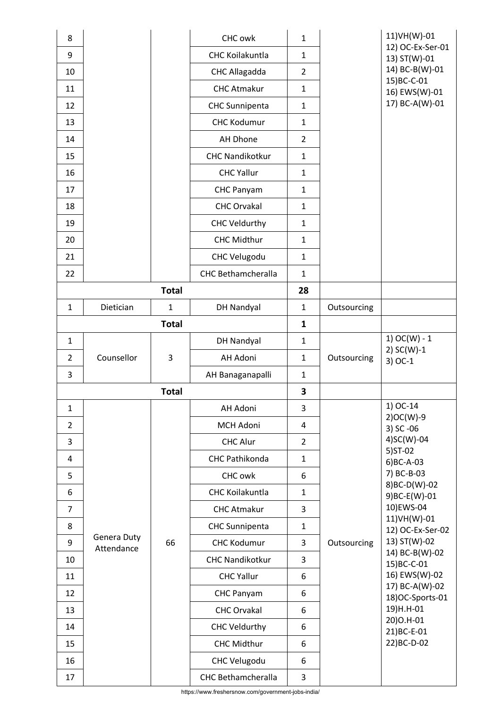| 8              |             |              | CHC owk                   | $\mathbf{1}$   |             | 11) VH(W)-01                      |
|----------------|-------------|--------------|---------------------------|----------------|-------------|-----------------------------------|
| 9              |             |              | <b>CHC Koilakuntla</b>    | $\mathbf{1}$   |             | 12) OC-Ex-Ser-01<br>13) ST(W)-01  |
| 10             |             |              | CHC Allagadda             | $\overline{2}$ |             | 14) BC-B(W)-01                    |
| 11             |             |              | <b>CHC Atmakur</b>        | $\mathbf{1}$   |             | 15) BC-C-01<br>16) EWS(W)-01      |
| 12             |             |              | <b>CHC Sunnipenta</b>     | $\mathbf{1}$   |             | 17) BC-A(W)-01                    |
| 13             |             |              | <b>CHC Kodumur</b>        | $\mathbf{1}$   |             |                                   |
| 14             |             |              | AH Dhone                  | $\overline{2}$ |             |                                   |
| 15             |             |              | <b>CHC Nandikotkur</b>    | $\mathbf{1}$   |             |                                   |
| 16             |             |              | <b>CHC Yallur</b>         | $\mathbf{1}$   |             |                                   |
| 17             |             |              | CHC Panyam                | $\mathbf{1}$   |             |                                   |
| 18             |             |              | <b>CHC Orvakal</b>        | $\mathbf{1}$   |             |                                   |
| 19             |             |              | <b>CHC Veldurthy</b>      | $\mathbf{1}$   |             |                                   |
| 20             |             |              | <b>CHC Midthur</b>        | $\mathbf{1}$   |             |                                   |
| 21             |             |              | <b>CHC Velugodu</b>       | $\mathbf{1}$   |             |                                   |
| 22             |             |              | <b>CHC Bethamcheralla</b> | $\mathbf{1}$   |             |                                   |
|                |             | <b>Total</b> |                           | 28             |             |                                   |
| $\mathbf{1}$   | Dietician   | $\mathbf{1}$ | DH Nandyal                | $\mathbf{1}$   | Outsourcing |                                   |
|                |             | <b>Total</b> |                           | $\mathbf{1}$   |             |                                   |
| $\mathbf{1}$   |             |              | <b>DH Nandyal</b>         | $\mathbf{1}$   |             | 1) $OC(W) - 1$                    |
| $\overline{2}$ | Counsellor  | 3            | AH Adoni                  | $\mathbf{1}$   | Outsourcing | 2) $SC(W)-1$                      |
|                |             |              |                           |                |             | $3)$ OC-1                         |
| 3              |             |              | AH Banaganapalli          | $\mathbf{1}$   |             |                                   |
|                |             | <b>Total</b> |                           | 3              |             |                                   |
| 1              |             |              | AH Adoni                  | 3              |             | 1) OC-14                          |
| $\overline{2}$ |             |              | MCH Adoni                 | 4              |             | $2)OC(W)-9$<br>3) SC-06           |
| 3              |             |              | <b>CHC Alur</b>           | $\overline{2}$ |             | 4)SC(W)-04                        |
| 4              |             |              | CHC Pathikonda            | $\mathbf{1}$   |             | 5) ST-02<br>$6)BC-A-03$           |
| 5              |             |              | CHC owk                   | 6              |             | 7) BC-B-03                        |
| 6              |             |              | CHC Koilakuntla           | $\mathbf{1}$   |             | 8) BC-D(W)-02<br>9) BC-E(W)-01    |
| $\overline{7}$ |             |              | <b>CHC Atmakur</b>        | 3              |             | 10)EWS-04                         |
| 8              |             |              | <b>CHC Sunnipenta</b>     | $\mathbf{1}$   |             | 11) VH(W)-01<br>12) OC-Ex-Ser-02  |
| 9              | Genera Duty | 66           | <b>CHC Kodumur</b>        | 3              | Outsourcing | 13) ST(W)-02                      |
| 10             | Attendance  |              | <b>CHC Nandikotkur</b>    | 3              |             | 14) BC-B(W)-02<br>15) BC-C-01     |
| 11             |             |              | <b>CHC Yallur</b>         | 6              |             | 16) EWS(W)-02                     |
| 12             |             |              | CHC Panyam                | 6              |             | 17) BC-A(W)-02<br>18)OC-Sports-01 |
| 13             |             |              | <b>CHC Orvakal</b>        | 6              |             | 19)H.H-01                         |
| 14             |             |              | <b>CHC Veldurthy</b>      | 6              |             | 20) O.H-01                        |
| 15             |             |              | <b>CHC Midthur</b>        | 6              |             | 21) BC-E-01<br>22) BC-D-02        |
| 16             |             |              | <b>CHC Velugodu</b>       | 6              |             |                                   |

https://www.freshersnow.com/government-jobs-india/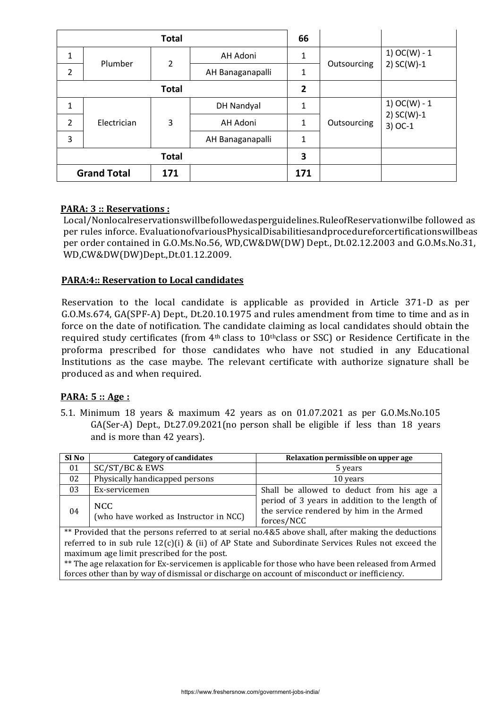|                |                    | <b>Total</b>   |                  | 66           |             |                           |
|----------------|--------------------|----------------|------------------|--------------|-------------|---------------------------|
| $\mathbf{1}$   | Plumber            | $\overline{2}$ | AH Adoni         | 1            |             | 1) $OC(W) - 1$            |
| $\overline{2}$ |                    |                | AH Banaganapalli | $\mathbf{1}$ | Outsourcing | 2) $SC(W)-1$              |
| <b>Total</b>   |                    |                | $\overline{2}$   |              |             |                           |
| 1              |                    |                | DH Nandyal       | 1            |             | 1) $OC(W) - 1$            |
| 2              | Electrician        | 3              | AH Adoni         | 1            | Outsourcing | 2) $SC(W)-1$<br>$3)$ OC-1 |
| 3              |                    |                | AH Banaganapalli | 1            |             |                           |
|                |                    | <b>Total</b>   |                  | 3            |             |                           |
|                | <b>Grand Total</b> | 171            |                  | 171          |             |                           |

### **PARA: 3 :: Reservations :**

Local/Nonlocalreservationswillbefollowedasperguidelines.RuleofReservationwilbe followed as per rules inforce. EvaluationofvariousPhysicalDisabilitiesandprocedureforcertificationswillbeas per order contained in G.O.Ms.No.56, WD,CW&DW(DW) Dept., Dt.02.12.2003 and G.O.Ms.No.31, WD,CW&DW(DW)Dept.,Dt.01.12.2009.

#### **PARA:4:: Reservation to Local candidates**

Reservation to the local candidate is applicable as provided in Article 371-D as per G.O.Ms.674, GA(SPF-A) Dept., Dt.20.10.1975 and rules amendment from time to time and as in force on the date of notification. The candidate claiming as local candidates should obtain the required study certificates (from  $4<sup>th</sup>$  class to  $10<sup>th</sup>$ class or SSC) or Residence Certificate in the proforma prescribed for those candidates who have not studied in any Educational Institutions as the case maybe. The relevant certificate with authorize signature shall be produced as and when required.

#### **PARA: 5 :: Age :**

5.1. Minimum 18 years & maximum 42 years as on 01.07.2021 as per G.O.Ms.No.105 GA(Ser-A) Dept., Dt.27.09.2021(no person shall be eligible if less than 18 years and is more than 42 years).

| Sl No | Category of candidates                         | Relaxation permissible on upper age                                                                      |
|-------|------------------------------------------------|----------------------------------------------------------------------------------------------------------|
| 01    | SC/ST/BC & EWS                                 | 5 years                                                                                                  |
| 02    | Physically handicapped persons                 | 10 years                                                                                                 |
| 03    | Ex-servicemen                                  | Shall be allowed to deduct from his age a                                                                |
| 04    | NCC.<br>(who have worked as Instructor in NCC) | period of 3 years in addition to the length of<br>the service rendered by him in the Armed<br>forces/NCC |

\*\* Provided that the persons referred to at serial no.4&5 above shall, after making the deductions referred to in sub rule  $12(c)(i)$  & (ii) of AP State and Subordinate Services Rules not exceed the maximum age limit prescribed for the post.

\*\* The age relaxation for Ex-servicemen is applicable for those who have been released from Armed forces other than by way of dismissal or discharge on account of misconduct or inefficiency.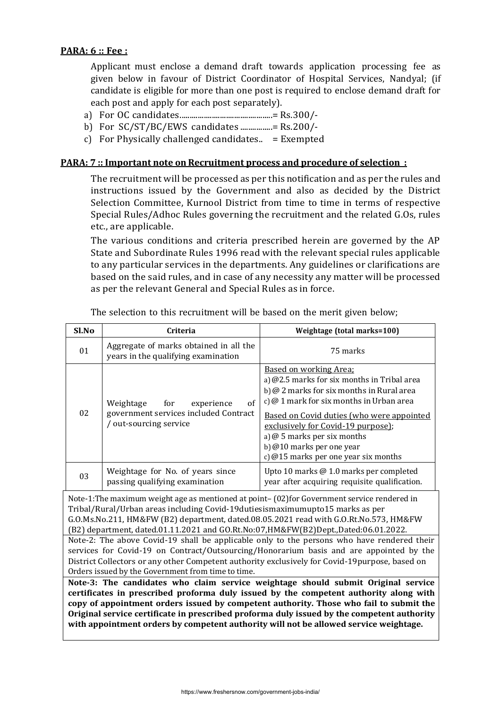#### **PARA: 6 :: Fee :**

Applicant must enclose a demand draft towards application processing fee as given below in favour of District Coordinator of Hospital Services, Nandyal; (if candidate is eligible for more than one post is required to enclose demand draft for each post and apply for each post separately).

- a) For OC candidates..............................................= Rs.300/-
- b) For SC/ST/BC/EWS candidates ................= Rs.200/-
- c) For Physically challenged candidates.  $=$  Exempted

#### **PARA: 7 :: Important note on Recruitment process and procedure of selection :**

The recruitment will be processed as per this notification and as per the rules and instructions issued by the Government and also as decided by the District Selection Committee, Kurnool District from time to time in terms of respective Special Rules/Adhoc Rules governing the recruitment and the related G.Os, rules etc., are applicable.

The various conditions and criteria prescribed herein are governed by the AP State and Subordinate Rules 1996 read with the relevant special rules applicable to any particular services in the departments. Any guidelines or clarifications are based on the said rules, and in case of any necessity any matter will be processed as per the relevant General and Special Rules as in force.

| Sl.No | Criteria                                                                                              | Weightage (total marks=100)                                                                                                                                                                                                                                                                                                                                                           |
|-------|-------------------------------------------------------------------------------------------------------|---------------------------------------------------------------------------------------------------------------------------------------------------------------------------------------------------------------------------------------------------------------------------------------------------------------------------------------------------------------------------------------|
| 01    | Aggregate of marks obtained in all the<br>years in the qualifying examination                         | 75 marks                                                                                                                                                                                                                                                                                                                                                                              |
| 02    | of<br>Weightage<br>for<br>experience<br>government services included Contract<br>out-sourcing service | <u>Based on working Area;</u><br>a) $@2.5$ marks for six months in Tribal area<br>b) @ 2 marks for six months in Rural area<br>c) $\omega$ 1 mark for six months in Urban area<br><u>Based on Covid duties (who were appointed</u><br>exclusively for Covid-19 purpose);<br>a) $\omega$ 5 marks per six months<br>b) @10 marks per one year<br>c) $@15$ marks per one year six months |
| 03    | Weightage for No. of years since<br>passing qualifying examination                                    | Upto 10 marks @ 1.0 marks per completed<br>year after acquiring requisite qualification.                                                                                                                                                                                                                                                                                              |

The selection to this recruitment will be based on the merit given below;

Note-1:The maximum weight age as mentioned at point– (02)for Government service rendered in Tribal/Rural/Urban areas including Covid-19dutiesismaximumupto15 marks as per G.O.Ms.No.211, HM&FW (B2) department, dated.08.05.2021 read with G.O.Rt.No.573, HM&FW (B2) department, dated.01.11.2021 and GO.Rt.No:07,HM&FW(B2)Dept.,Dated:06.01.2022.

Note-2: The above Covid-19 shall be applicable only to the persons who have rendered their services for Covid-19 on Contract/Outsourcing/Honorarium basis and are appointed by the District Collectors or any other Competent authority exclusively for Covid-19purpose, based on Orders issued by the Government from time to time.

**Note-3: The candidates who claim service weightage should submit Original service certificates in prescribed proforma duly issued by the competent authority along with copy of appointment orders issued by competent authority. Those who fail to submit the Original service certificate in prescribed proforma duly issued by the competent authority with appointment orders by competent authority will not be allowed service weightage.**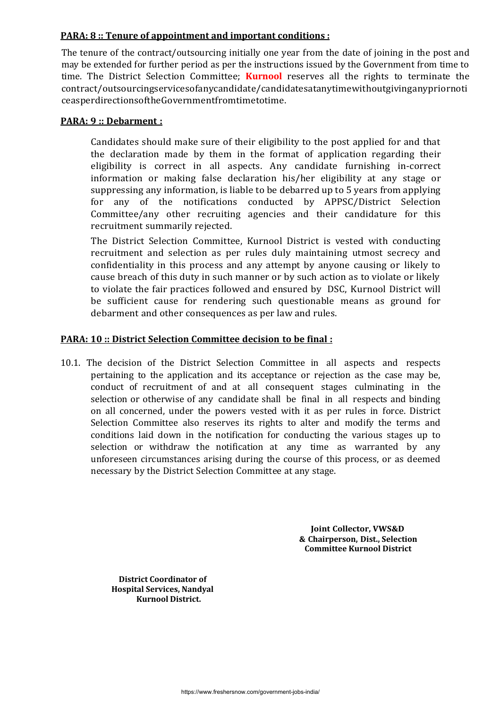#### **PARA: 8 :: Tenure of appointment and important conditions :**

The tenure of the contract/outsourcing initially one year from the date of joining in the post and may be extended for further period as per the instructions issued by the Government from time to time. The District Selection Committee; **Kurnool** reserves all the rights to terminate the contract/outsourcingservicesofanycandidate/candidatesatanytimewithoutgivinganypriornoti ceasperdirectionsoftheGovernmentfromtimetotime.

#### **PARA: 9 :: Debarment :**

Candidates should make sure of their eligibility to the post applied for and that the declaration made by them in the format of application regarding their eligibility is correct in all aspects. Any candidate furnishing in-correct information or making false declaration his/her eligibility at any stage or suppressing any information, is liable to be debarred up to 5 years from applying for any of the notifications conducted by APPSC/District Selection Committee/any other recruiting agencies and their candidature for this recruitment summarily rejected.

The District Selection Committee, Kurnool District is vested with conducting recruitment and selection as per rules duly maintaining utmost secrecy and confidentiality in this process and any attempt by anyone causing or likely to cause breach of this duty in such manner or by such action as to violate or likely to violate the fair practices followed and ensured by DSC, Kurnool District will be sufficient cause for rendering such questionable means as ground for debarment and other consequences as per law and rules.

#### **PARA: 10 :: District Selection Committee decision to be final :**

10.1. The decision of the District Selection Committee in all aspects and respects pertaining to the application and its acceptance or rejection as the case may be, conduct of recruitment of and at all consequent stages culminating in the selection or otherwise of any candidate shall be final in all respects and binding on all concerned, under the powers vested with it as per rules in force. District Selection Committee also reserves its rights to alter and modify the terms and conditions laid down in the notification for conducting the various stages up to selection or withdraw the notification at any time as warranted by any unforeseen circumstances arising during the course of this process, or as deemed necessary by the District Selection Committee at any stage.

> **Joint Collector, VWS&D & Chairperson, Dist., Selection Committee Kurnool District**

 **District Coordinator of Hospital Services, Nandyal Kurnool District.**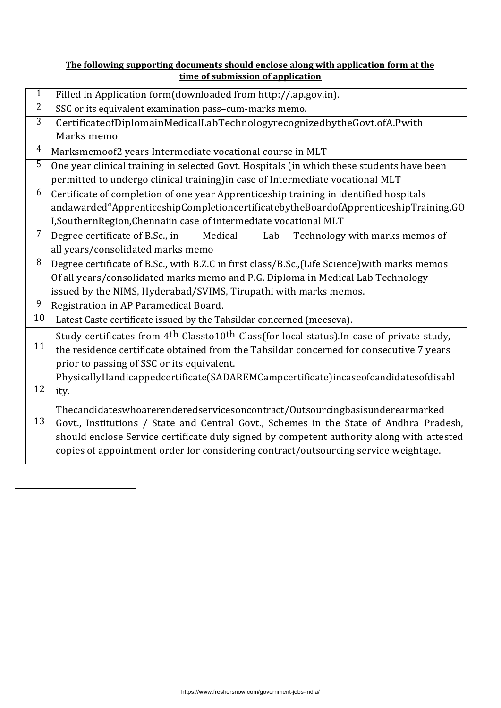#### **The following supporting documents should enclose along with application form at the time of submission of application**

| $\mathbf 1$    | Filled in Application form(downloaded from http://.ap.gov.in).                                                     |
|----------------|--------------------------------------------------------------------------------------------------------------------|
| 2              | SSC or its equivalent examination pass-cum-marks memo.                                                             |
| $\overline{3}$ | CertificateofDiplomainMedicalLabTechnologyrecognizedbytheGovt.ofA.Pwith                                            |
|                | Marks memo                                                                                                         |
| $\overline{4}$ | Marksmemoof2 years Intermediate vocational course in MLT                                                           |
| $\overline{5}$ | One year clinical training in selected Govt. Hospitals (in which these students have been                          |
|                | permitted to undergo clinical training)in case of Intermediate vocational MLT                                      |
| 6              | Certificate of completion of one year Apprenticeship training in identified hospitals                              |
|                | andawarded"ApprenticeshipCompletioncertificatebytheBoardofApprenticeshipTraining,GO                                |
|                | L, Southern Region, Chennaiin case of intermediate vocational MLT                                                  |
| $7\phantom{.}$ | Degree certificate of B.Sc., in<br>Medical<br>Technology with marks memos of<br>Lab                                |
|                | all years/consolidated marks memo                                                                                  |
| $\overline{8}$ | Degree certificate of B.Sc., with B.Z.C in first class/B.Sc., (Life Science) with marks memos                      |
|                | Of all years/consolidated marks memo and P.G. Diploma in Medical Lab Technology                                    |
|                | issued by the NIMS, Hyderabad/SVIMS, Tirupathi with marks memos.                                                   |
| $\overline{9}$ | Registration in AP Paramedical Board.                                                                              |
| 10             | Latest Caste certificate issued by the Tahsildar concerned (meeseva).                                              |
|                | Study certificates from 4 <sup>th</sup> Classto10 <sup>th</sup> Class(for local status). In case of private study, |
| 11             | the residence certificate obtained from the Tahsildar concerned for consecutive 7 years                            |
|                | prior to passing of SSC or its equivalent.                                                                         |
|                | PhysicallyHandicappedcertificate(SADAREMCampcertificate)incaseofcandidatesofdisabl                                 |
| 12             | ity.                                                                                                               |
|                | Thecandidateswhoarerenderedservicesoncontract/Outsourcingbasisunderearmarked                                       |
| 13             | Govt., Institutions / State and Central Govt., Schemes in the State of Andhra Pradesh,                             |
|                | should enclose Service certificate duly signed by competent authority along with attested                          |
|                | copies of appointment order for considering contract/outsourcing service weightage.                                |
|                |                                                                                                                    |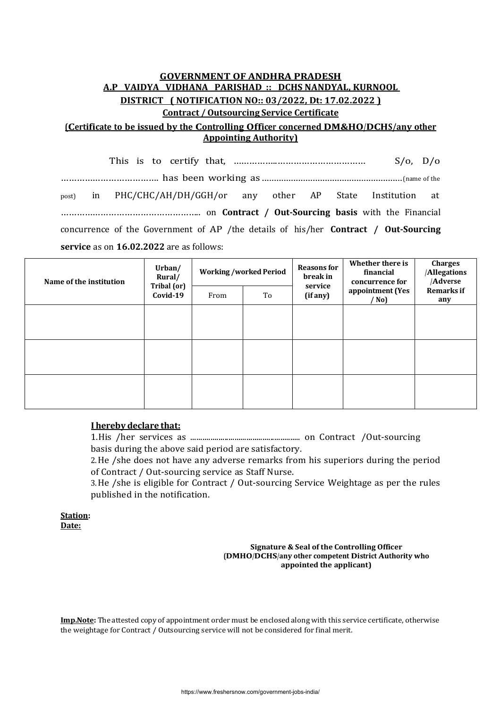## **GOVERNMENT OF ANDHRA PRADESH A.P VAIDYA VIDHANA PARISHAD :: DCHS NANDYAL, KURNOOL DISTRICT ( NOTIFICATION NO:: 03/2022, Dt: 17.02.2022 ) Contract / Outsourcing Service Certificate**

#### **(Certificate to be issued by the Controlling Officer concerned DM&HO/DCHS/any other Appointing Authority)**

This is to certify that, ……………..…………………………… S/o, D/o ………………………………. has been working as ..........................................................(name of the post) in PHC/CHC/AH/DH/GGH/or any other AP State Institution at …………………………………………….. on **Contract / Out-Sourcing basis** with the Financial concurrence of the Government of AP /the details of his/her **Contract / Out-Sourcing service** as on **16.02.2022** are as follows:

| Name of the institution | Urban/<br>Rural/<br>Tribal (or)<br>Covid-19 | <b>Working/worked Period</b> |    | <b>Reasons for</b><br>break in | Whether there is<br>financial<br>concurrence for | <b>Charges</b><br><b>Allegations</b><br>/Adverse |
|-------------------------|---------------------------------------------|------------------------------|----|--------------------------------|--------------------------------------------------|--------------------------------------------------|
|                         |                                             | From                         | To | service<br>(if any)            | appointment (Yes<br>$/$ No)                      | <b>Remarks</b> if<br>any                         |
|                         |                                             |                              |    |                                |                                                  |                                                  |
|                         |                                             |                              |    |                                |                                                  |                                                  |
|                         |                                             |                              |    |                                |                                                  |                                                  |
|                         |                                             |                              |    |                                |                                                  |                                                  |
|                         |                                             |                              |    |                                |                                                  |                                                  |
|                         |                                             |                              |    |                                |                                                  |                                                  |

#### **I hereby declare that:**

1.His /her services as ....................................................... on Contract /Out-sourcing basis during the above said period are satisfactory.

2.He /she does not have any adverse remarks from his superiors during the period of Contract / Out-sourcing service as Staff Nurse.

3.He /she is eligible for Contract / Out-sourcing Service Weightage as per the rules published in the notification.

**Station: Date:**

#### **Signature & Seal of the Controlling Officer (DMHO/DCHS/any other competent District Authority who appointed the applicant)**

**Imp.Note:** The attested copy of appointment order must be enclosed along with this service certificate, otherwise the weightage for Contract / Outsourcing service will not be considered for final merit.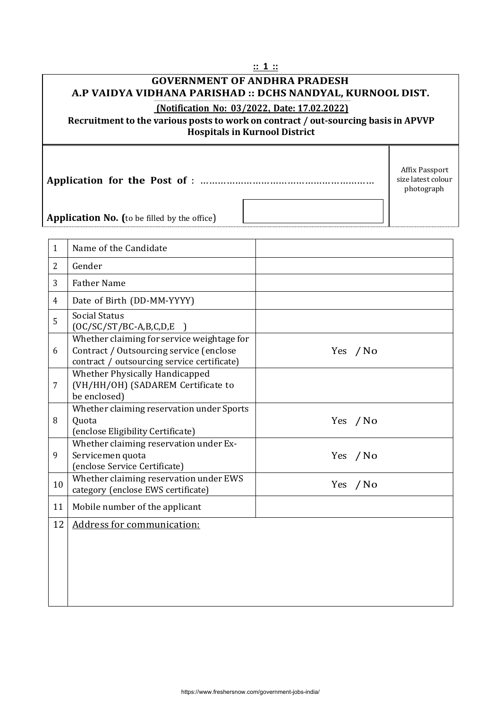|                |                                                                                                                                      | :: 1 ::  |                                                    |  |  |  |  |
|----------------|--------------------------------------------------------------------------------------------------------------------------------------|----------|----------------------------------------------------|--|--|--|--|
|                | <b>GOVERNMENT OF ANDHRA PRADESH</b>                                                                                                  |          |                                                    |  |  |  |  |
|                | A.P VAIDYA VIDHANA PARISHAD :: DCHS NANDYAL, KURNOOL DIST.                                                                           |          |                                                    |  |  |  |  |
|                | (Notification No: 03/2022, Date: 17.02.2022)                                                                                         |          |                                                    |  |  |  |  |
|                | Recruitment to the various posts to work on contract / out-sourcing basis in APVVP<br><b>Hospitals in Kurnool District</b>           |          |                                                    |  |  |  |  |
|                |                                                                                                                                      |          |                                                    |  |  |  |  |
|                |                                                                                                                                      |          | Affix Passport<br>size latest colour<br>photograph |  |  |  |  |
|                |                                                                                                                                      |          |                                                    |  |  |  |  |
|                | <b>Application No.</b> (to be filled by the office)                                                                                  |          |                                                    |  |  |  |  |
|                |                                                                                                                                      |          |                                                    |  |  |  |  |
| 1              | Name of the Candidate                                                                                                                |          |                                                    |  |  |  |  |
| $\overline{2}$ | Gender                                                                                                                               |          |                                                    |  |  |  |  |
| 3              | <b>Father Name</b>                                                                                                                   |          |                                                    |  |  |  |  |
| $\overline{4}$ | Date of Birth (DD-MM-YYYY)                                                                                                           |          |                                                    |  |  |  |  |
| 5              | <b>Social Status</b><br>$[OC/SC/ST/BC-A,B,C,D,E]$                                                                                    |          |                                                    |  |  |  |  |
| 6              | Whether claiming for service weightage for<br>Contract / Outsourcing service (enclose<br>contract / outsourcing service certificate) | Yes / No |                                                    |  |  |  |  |
| 7              | Whether Physically Handicapped<br>(VH/HH/OH) (SADAREM Certificate to<br>be enclosed)                                                 |          |                                                    |  |  |  |  |
| 8              | Whether claiming reservation under Sports<br>Quota<br>(enclose Eligibility Certificate)                                              | Yes / No |                                                    |  |  |  |  |
| 9              | Whether claiming reservation under Ex-<br>Servicemen quota<br>(enclose Service Certificate)                                          | Yes / No |                                                    |  |  |  |  |
| 10             | Whether claiming reservation under EWS<br>category (enclose EWS certificate)                                                         | Yes / No |                                                    |  |  |  |  |
| 11             | Mobile number of the applicant                                                                                                       |          |                                                    |  |  |  |  |
| 12             | Address for communication:                                                                                                           |          |                                                    |  |  |  |  |
|                |                                                                                                                                      |          |                                                    |  |  |  |  |
|                |                                                                                                                                      |          |                                                    |  |  |  |  |
|                |                                                                                                                                      |          |                                                    |  |  |  |  |
|                |                                                                                                                                      |          |                                                    |  |  |  |  |
|                |                                                                                                                                      |          |                                                    |  |  |  |  |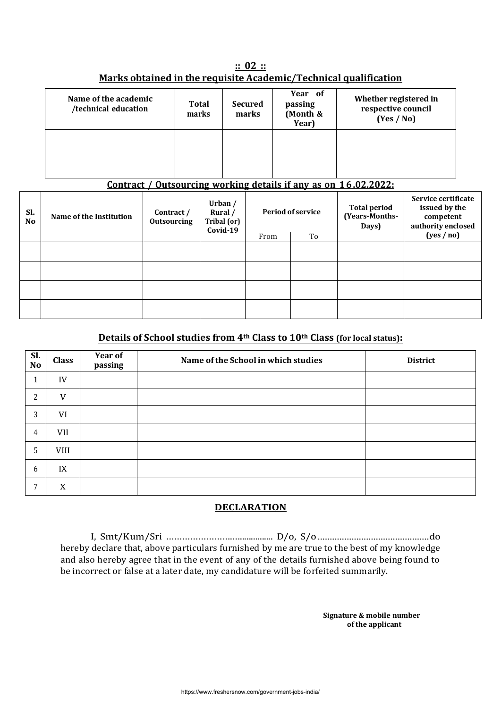|                                                                  | $\therefore$ 02 $\therefore$ |  |
|------------------------------------------------------------------|------------------------------|--|
| Marks obtained in the requisite Academic/Technical qualification |                              |  |

| Name of the academic<br>/technical education | Total<br>marks | <b>Secured</b><br>marks | Year of<br>passing<br>(Month &<br>Year)                                                                                                                                                                                                                                                                                                                       | Whether registered in<br>respective council<br>(Yes / No) |
|----------------------------------------------|----------------|-------------------------|---------------------------------------------------------------------------------------------------------------------------------------------------------------------------------------------------------------------------------------------------------------------------------------------------------------------------------------------------------------|-----------------------------------------------------------|
|                                              |                |                         |                                                                                                                                                                                                                                                                                                                                                               |                                                           |
|                                              |                |                         | $\alpha$ , $\alpha$ , $\alpha$ , $\alpha$ , $\alpha$ , $\alpha$ , $\alpha$ , $\alpha$ , $\alpha$ , $\alpha$ , $\alpha$ , $\alpha$ , $\alpha$ , $\alpha$ , $\alpha$ , $\alpha$ , $\alpha$ , $\alpha$ , $\alpha$ , $\alpha$ , $\alpha$ , $\alpha$ , $\alpha$ , $\alpha$ , $\alpha$ , $\alpha$ , $\alpha$ , $\alpha$ , $\alpha$ , $\alpha$ , $\alpha$ , $\alpha$ |                                                           |

#### **Contract / Outsourcing working details if any as on 1 6.02.2022:**

| SI.<br>N <sub>o</sub> | Name of the Institution | Contract /<br><b>Outsourcing</b> | Urban $/$<br>Rural /<br>Tribal (or)<br>Covid-19 |    | <b>Period of service</b> | <b>Total period</b><br>(Years-Months-<br>Days) | Service certificate<br>issued by the<br>competent<br>authority enclosed |
|-----------------------|-------------------------|----------------------------------|-------------------------------------------------|----|--------------------------|------------------------------------------------|-------------------------------------------------------------------------|
|                       |                         |                                  | From                                            | To |                          | (yes/no)                                       |                                                                         |
|                       |                         |                                  |                                                 |    |                          |                                                |                                                                         |
|                       |                         |                                  |                                                 |    |                          |                                                |                                                                         |
|                       |                         |                                  |                                                 |    |                          |                                                |                                                                         |
|                       |                         |                                  |                                                 |    |                          |                                                |                                                                         |

### **Details of School studies from 4th Class to 10th Class (for local status):**

| Sl.<br><b>No</b> | <b>Class</b> | Year of<br>passing | Name of the School in which studies | <b>District</b> |
|------------------|--------------|--------------------|-------------------------------------|-----------------|
| Ŧ.               | IV           |                    |                                     |                 |
| 2                | V            |                    |                                     |                 |
| 3                | VI           |                    |                                     |                 |
| 4                | VII          |                    |                                     |                 |
| 5                | <b>VIII</b>  |                    |                                     |                 |
| 6                | IX           |                    |                                     |                 |
| 7                | X            |                    |                                     |                 |

#### **DECLARATION**

I, Smt/Kum/Sri …………………….…............... D/o, S/o..............................................do hereby declare that, above particulars furnished by me are true to the best of my knowledge and also hereby agree that in the event of any of the details furnished above being found to be incorrect or false at a later date, my candidature will be forfeited summarily.

> **Signature & mobile number of the applicant**